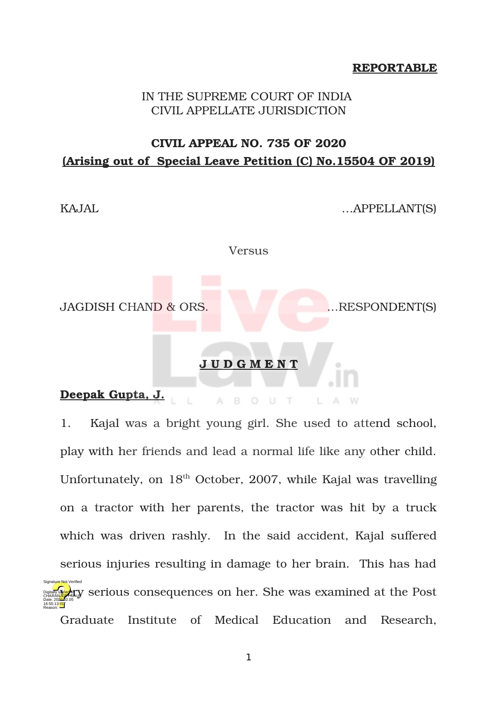#### **REPORTABLE**

## IN THE SUPREME COURT OF INDIA CIVIL APPELLATE JURISDICTION

# **CIVIL APPEAL NO. 735 OF 2020 (Arising out of Special Leave Petition (C) No.15504 OF 2019)**

KAJAL 
...APPELLANT(S)

Versus

JAGDISH CHAND & ORS. …RESPONDENT(S)

#### **J U D G M E N T**

**Deepak Gupta, J.**  $A$ B O U T  $A$   $W$ L.

1. Kajal was a bright young girl. She used to attend school, play with her friends and lead a normal life like any other child. Unfortunately, on  $18<sup>th</sup>$  October, 2007, while Kajal was travelling on a tractor with her parents, the tractor was hit by a truck which was driven rashly. In the said accident, Kajal suffered serious injuries resulting in damage to her brain. This has had **PRINCIPALITY** serious consequences on her. She was examined at the Post Graduate Institute of Medical Education and Research, Digitally signed by Date: 2020.02.05 16:55:13 IST Reason: Signature Not Verified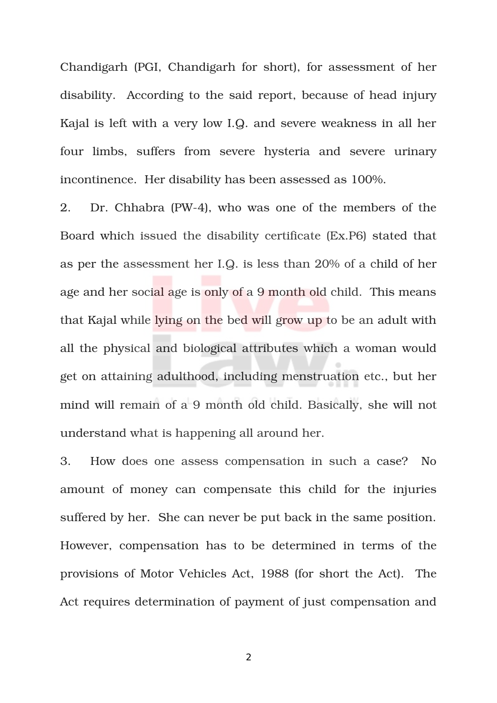Chandigarh (PGI, Chandigarh for short), for assessment of her disability. According to the said report, because of head injury Kajal is left with a very low I.Q. and severe weakness in all her four limbs, suffers from severe hysteria and severe urinary incontinence. Her disability has been assessed as 100%.

2. Dr. Chhabra (PW-4), who was one of the members of the Board which issued the disability certificate (Ex.P6) stated that as per the assessment her I.Q. is less than 20% of a child of her age and her social age is only of a 9 month old child. This means that Kajal while lying on the bed will grow up to be an adult with all the physical and biological attributes which a woman would get on attaining adulthood, including menstruation etc., but her mind will remain of a 9 month old child. Basically, she will not understand what is happening all around her.

3. How does one assess compensation in such a case? No amount of money can compensate this child for the injuries suffered by her. She can never be put back in the same position. However, compensation has to be determined in terms of the provisions of Motor Vehicles Act, 1988 (for short the Act). The Act requires determination of payment of just compensation and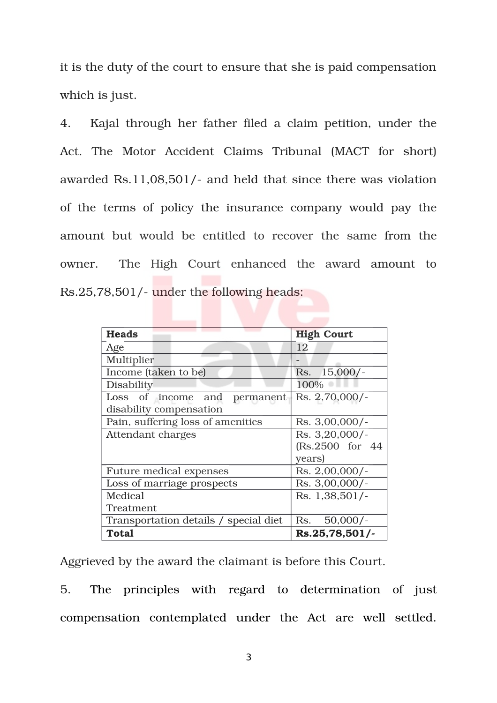it is the duty of the court to ensure that she is paid compensation which is just.

4. Kajal through her father filed a claim petition, under the Act. The Motor Accident Claims Tribunal (MACT for short) awarded Rs.11,08,501/- and held that since there was violation of the terms of policy the insurance company would pay the amount but would be entitled to recover the same from the owner. The High Court enhanced the award amount to Rs.25,78,501/- under the following heads:

| <b>Heads</b>                          | <b>High Court</b> |
|---------------------------------------|-------------------|
| Age                                   | 12                |
| Multiplier                            |                   |
| Income (taken to be)                  | Rs. 15,000/-      |
| <b>Disability</b>                     | 100%              |
| Loss of income<br>and<br>permanent    | Rs. 2,70,000/-    |
| disability compensation               |                   |
| Pain, suffering loss of amenities     | Rs. 3,00,000/-    |
| Attendant charges                     | Rs. 3,20,000/-    |
|                                       | (Rs.2500 for 44)  |
|                                       | years)            |
| <b>Future medical expenses</b>        | $Rs. 2,00,000/-$  |
| Loss of marriage prospects            | Rs. 3,00,000/-    |
| Medical                               | Rs. 1,38,501/-    |
| Treatment                             |                   |
| Transportation details / special diet | $50,000/-$<br>Rs. |
| <b>Total</b>                          | Rs.25,78,501/-    |

Aggrieved by the award the claimant is before this Court.

5. The principles with regard to determination of just compensation contemplated under the Act are well settled.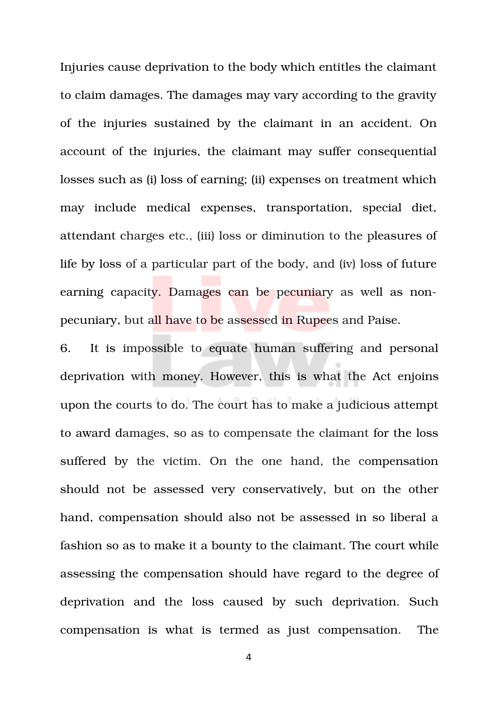Injuries cause deprivation to the body which entitles the claimant to claim damages. The damages may vary according to the gravity of the injuries sustained by the claimant in an accident. On account of the injuries, the claimant may suffer consequential losses such as (i) loss of earning; (ii) expenses on treatment which may include medical expenses, transportation, special diet, attendant charges etc., (iii) loss or diminution to the pleasures of life by loss of a particular part of the body, and (iv) loss of future earning capacity. Damages can be pecuniary as well as nonpecuniary, but all have to be assessed in Rupees and Paise.

6. It is impossible to equate human suffering and personal deprivation with money. However, this is what the Act enjoins upon the courts to do. The court has to make a judicious attempt to award damages, so as to compensate the claimant for the loss suffered by the victim. On the one hand, the compensation should not be assessed very conservatively, but on the other hand, compensation should also not be assessed in so liberal a fashion so as to make it a bounty to the claimant. The court while assessing the compensation should have regard to the degree of deprivation and the loss caused by such deprivation. Such compensation is what is termed as just compensation. The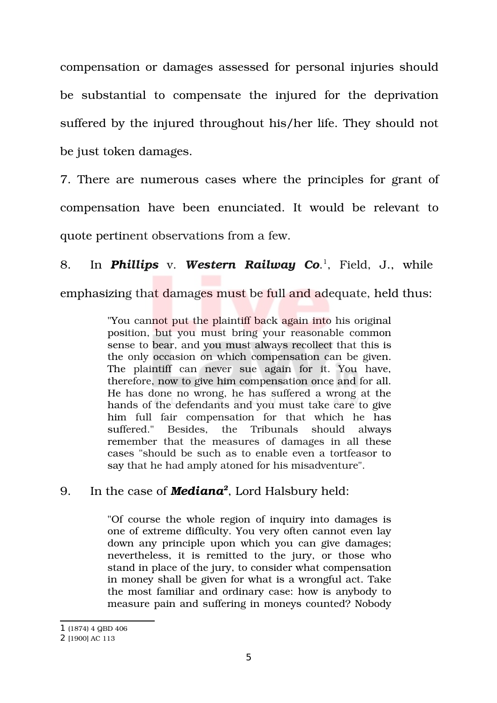compensation or damages assessed for personal injuries should be substantial to compensate the injured for the deprivation suffered by the injured throughout his/her life. They should not be just token damages.

7. There are numerous cases where the principles for grant of compensation have been enunciated. It would be relevant to quote pertinent observations from a few.

8. In *Phillips* v. Western Railway Co.<sup>[1](#page-4-0)</sup>, Field, J., while emphasizing that damages must be full and adequate, held thus:

> "You cannot put the plaintiff back again into his original position, but you must bring your reasonable common sense to bear, and you must always recollect that this is the only occasion on which compensation can be given. The plaintiff can never sue again for it. You have, therefore, now to give him compensation once and for all. He has done no wrong, he has suffered a wrong at the hands of the defendants and you must take care to give him full fair compensation for that which he has suffered." Besides, the Tribunals should always remember that the measures of damages in all these cases "should be such as to enable even a tortfeasor to say that he had amply atoned for his misadventure".

## 9. In the case of *Mediana[2](#page-4-1)* , Lord Halsbury held:

"Of course the whole region of inquiry into damages is one of extreme difficulty. You very often cannot even lay down any principle upon which you can give damages; nevertheless, it is remitted to the jury, or those who stand in place of the jury, to consider what compensation in money shall be given for what is a wrongful act. Take the most familiar and ordinary case: how is anybody to measure pain and suffering in moneys counted? Nobody

<span id="page-4-0"></span><sup>1</sup> (1874) 4 QBD 406

<span id="page-4-1"></span><sup>2</sup> [1900] AC 113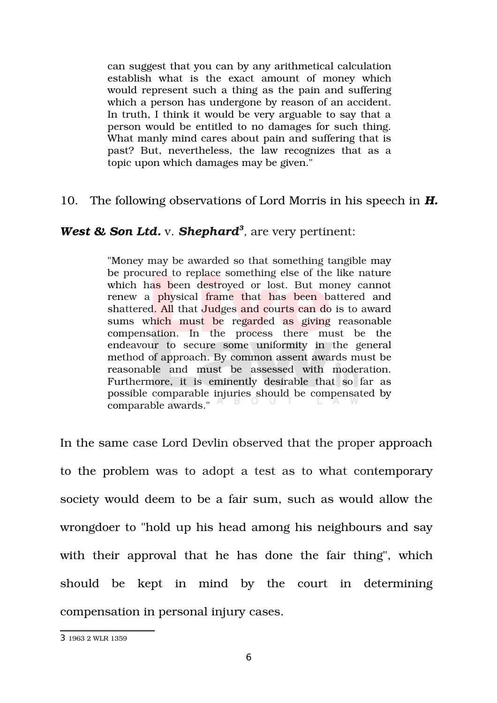can suggest that you can by any arithmetical calculation establish what is the exact amount of money which would represent such a thing as the pain and suffering which a person has undergone by reason of an accident. In truth, I think it would be very arguable to say that a person would be entitled to no damages for such thing. What manly mind cares about pain and suffering that is past? But, nevertheless, the law recognizes that as a topic upon which damages may be given."

#### 10. The following observations of Lord Morris in his speech in *H.*

## West & Son Ltd. v. Shephard<sup>[3](#page-5-0)</sup>, are very pertinent:

"Money may be awarded so that something tangible may be procured to replace something else of the like nature which has been destroyed or lost. But money cannot renew a physical frame that has been battered and shattered. All that Judges and courts can do is to award sums which must be regarded as giving reasonable compensation. In the process there must be the endeavour to secure some uniformity in the general method of approach. By common assent awards must be reasonable and must be assessed with moderation. Furthermore, it is eminently desirable that so far as possible comparable injuries should be compensated by comparable awards."

In the same case Lord Devlin observed that the proper approach to the problem was to adopt a test as to what contemporary society would deem to be a fair sum, such as would allow the wrongdoer to "hold up his head among his neighbours and say with their approval that he has done the fair thing", which should be kept in mind by the court in determining compensation in personal injury cases.

<span id="page-5-0"></span><sup>3</sup> 1963 2 WLR 1359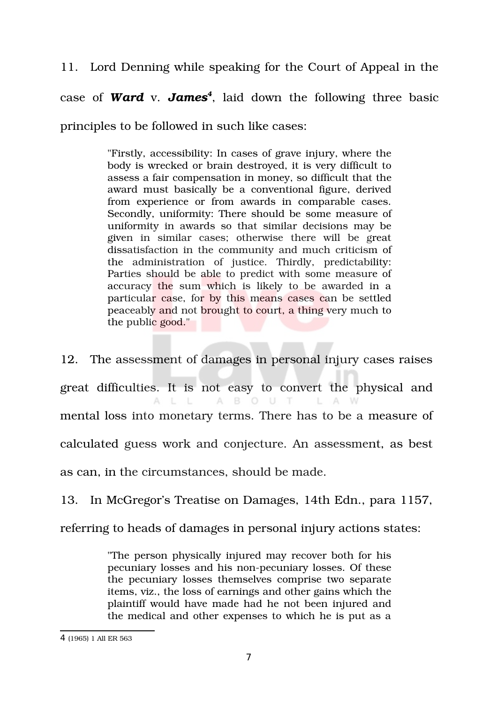11. Lord Denning while speaking for the Court of Appeal in the case of *Ward* v. *James[4](#page-6-0)* , laid down the following three basic principles to be followed in such like cases:

> "Firstly, accessibility: In cases of grave injury, where the body is wrecked or brain destroyed, it is very difficult to assess a fair compensation in money, so difficult that the award must basically be a conventional figure, derived from experience or from awards in comparable cases. Secondly, uniformity: There should be some measure of uniformity in awards so that similar decisions may be given in similar cases; otherwise there will be great dissatisfaction in the community and much criticism of the administration of justice. Thirdly, predictability: Parties should be able to predict with some measure of accuracy the sum which is likely to be awarded in a particular case, for by this means cases can be settled peaceably and not brought to court, a thing very much to the public good."

12. The assessment of damages in personal injury cases raises great difficulties. It is not easy to convert the physical and L L  $A$ **B** O U T L A W А. mental loss into monetary terms. There has to be a measure of calculated guess work and conjecture. An assessment, as best as can, in the circumstances, should be made.

13. In McGregor's Treatise on Damages, 14th Edn., para 1157,

referring to heads of damages in personal injury actions states:

"The person physically injured may recover both for his pecuniary losses and his non-pecuniary losses. Of these the pecuniary losses themselves comprise two separate items, viz., the loss of earnings and other gains which the plaintiff would have made had he not been injured and the medical and other expenses to which he is put as a

<span id="page-6-0"></span><sup>4</sup> (1965) 1 All ER 563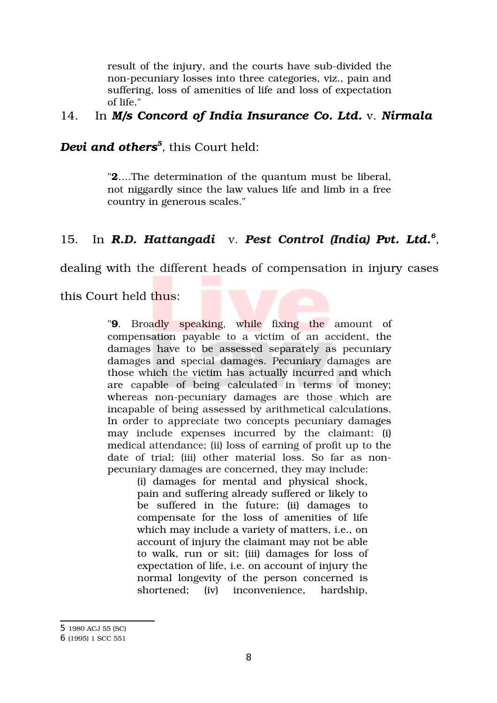result of the injury, and the courts have sub-divided the non-pecuniary losses into three categories, viz., pain and suffering, loss of amenities of life and loss of expectation of life."

## 14. In *M/s Concord of India Insurance Co. Ltd.* v. *Nirmala*

# *Devi and others[5](#page-7-0) ,* this Court held:

"**2**….The determination of the quantum must be liberal, not niggardly since the law values life and limb in a free country in generous scales."

## 15. In **R.D. Hattangadi** v. Pest Control (India) Pvt. Ltd.<sup>[6](#page-7-1)</sup>,

dealing with the different heads of compensation in injury cases

this Court held thus:

"**9**. Broadly speaking, while fixing the amount of compensation payable to a victim of an accident, the damages have to be assessed separately as pecuniary damages and special damages. Pecuniary damages are those which the victim has actually incurred and which are capable of being calculated in terms of money; whereas non-pecuniary damages are those which are incapable of being assessed by arithmetical calculations. In order to appreciate two concepts pecuniary damages may include expenses incurred by the claimant: (i) medical attendance; (ii) loss of earning of profit up to the date of trial; (iii) other material loss. So far as nonpecuniary damages are concerned, they may include:

> (i) damages for mental and physical shock, pain and suffering already suffered or likely to be suffered in the future; (ii) damages to compensate for the loss of amenities of life which may include a variety of matters, i.e., on account of injury the claimant may not be able to walk, run or sit; (iii) damages for loss of expectation of life, i.e. on account of injury the normal longevity of the person concerned is shortened; iv) inconvenience, hardship,

<span id="page-7-0"></span><sup>5</sup> 1980 ACJ 55 (SC)

<span id="page-7-1"></span><sup>6</sup> (1995) 1 SCC 551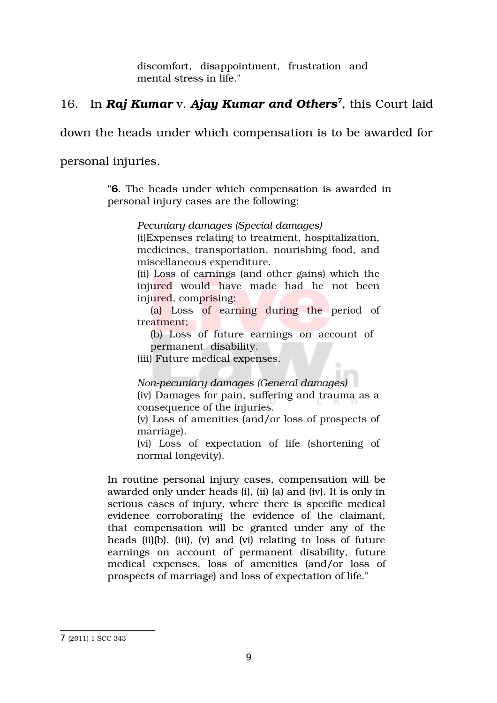discomfort, disappointment, frustration and mental stress in life."

# 16. In *Raj Kumar* v. *Ajay Kumar and Others[7](#page-8-0)* , this Court laid

down the heads under which compensation is to be awarded for

personal injuries.

"**6**. The heads under which compensation is awarded in personal injury cases are the following:

*Pecuniary damages (Special damages)*

(i)Expenses relating to treatment, hospitalization, medicines, transportation, nourishing food, and miscellaneous expenditure.

(ii) Loss of earnings (and other gains) which the injured would have made had he not been injured, comprising:

(a) Loss of earning during the period of treatment;

(b) Loss of future earnings on account of permanent disability.

 $\sim$ 

(iii) Future medical expenses.

*Nonpecuniary damages (General damages)*

(iv) Damages for pain, suffering and trauma as a consequence of the injuries.

(v) Loss of amenities (and/or loss of prospects of marriage).

(vi) Loss of expectation of life (shortening of normal longevity).

In routine personal injury cases, compensation will be awarded only under heads (i), (ii) (a) and (iv). It is only in serious cases of injury, where there is specific medical evidence corroborating the evidence of the claimant, that compensation will be granted under any of the heads (ii)(b), (iii), (v) and (vi) relating to loss of future earnings on account of permanent disability, future medical expenses, loss of amenities (and/or loss of prospects of marriage) and loss of expectation of life."

<span id="page-8-0"></span><sup>7</sup> (2011) 1 SCC 343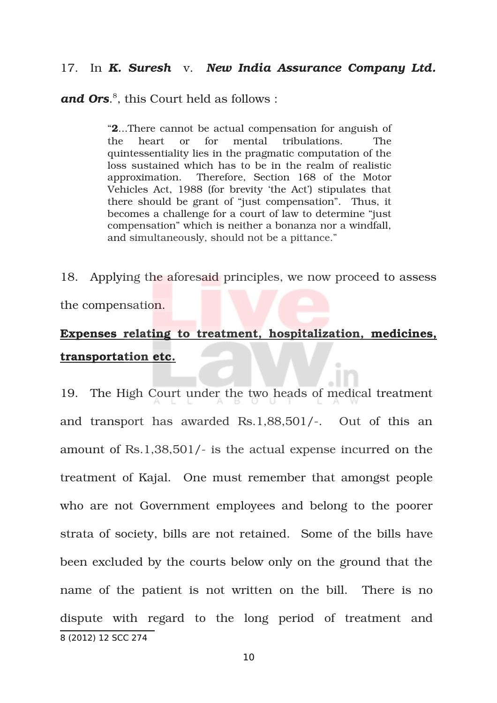#### 17. In *K. Suresh* v. *New India Assurance Company Ltd.*

and Ors.<sup>[8](#page-9-0)</sup>, this Court held as follows :

"**2**...There cannot be actual compensation for anguish of the heart or for mental tribulations. The quintessentiality lies in the pragmatic computation of the loss sustained which has to be in the realm of realistic approximation. Therefore, Section 168 of the Motor Vehicles Act, 1988 (for brevity 'the Act') stipulates that there should be grant of "just compensation". Thus, it becomes a challenge for a court of law to determine "just compensation" which is neither a bonanza nor a windfall, and simultaneously, should not be a pittance."

18. Applying the aforesaid principles, we now proceed to assess the compensation.

# **Expenses relating to treatment, hospitalization, medicines, transportation etc.**

<span id="page-9-0"></span>19. The High Court under the two heads of medical treatment and transport has awarded  $\text{Rs}.1,88,501/$ . Out of this an amount of Rs.1,38,501/ is the actual expense incurred on the treatment of Kajal. One must remember that amongst people who are not Government employees and belong to the poorer strata of society, bills are not retained. Some of the bills have been excluded by the courts below only on the ground that the name of the patient is not written on the bill. There is no dispute with regard to the long period of treatment and 8 (2012) 12 SCC 274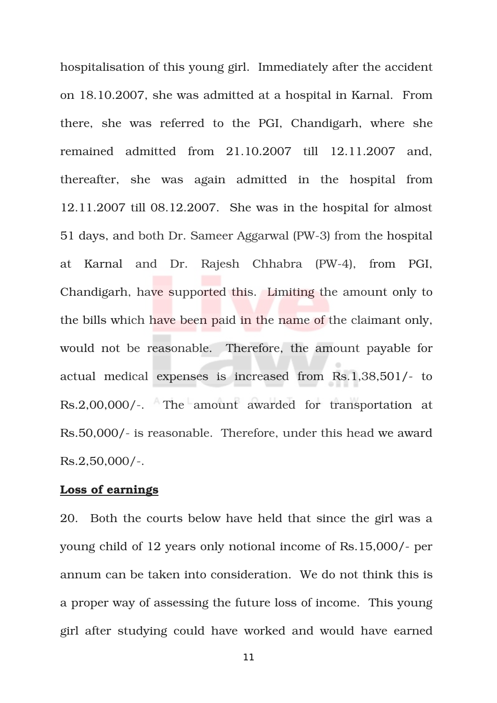hospitalisation of this young girl. Immediately after the accident on 18.10.2007, she was admitted at a hospital in Karnal. From there, she was referred to the PGI, Chandigarh, where she remained admitted from 21.10.2007 till 12.11.2007 and, thereafter, she was again admitted in the hospital from 12.11.2007 till 08.12.2007. She was in the hospital for almost 51 days, and both Dr. Sameer Aggarwal (PW-3) from the hospital at Karnal and Dr. Rajesh Chhabra (PW-4), from PGI, Chandigarh, have supported this. Limiting the amount only to the bills which have been paid in the name of the claimant only, would not be reasonable. Therefore, the amount payable for actual medical expenses is increased from Rs.1,38,501/- to Rs.2,00,000/-. The amount awarded for transportation at Rs.50,000/ is reasonable. Therefore, under this head we award  $Rs.2,50,000/-.$ 

#### **Loss of earnings**

20. Both the courts below have held that since the girl was a young child of 12 years only notional income of Rs.15,000/- per annum can be taken into consideration. We do not think this is a proper way of assessing the future loss of income. This young girl after studying could have worked and would have earned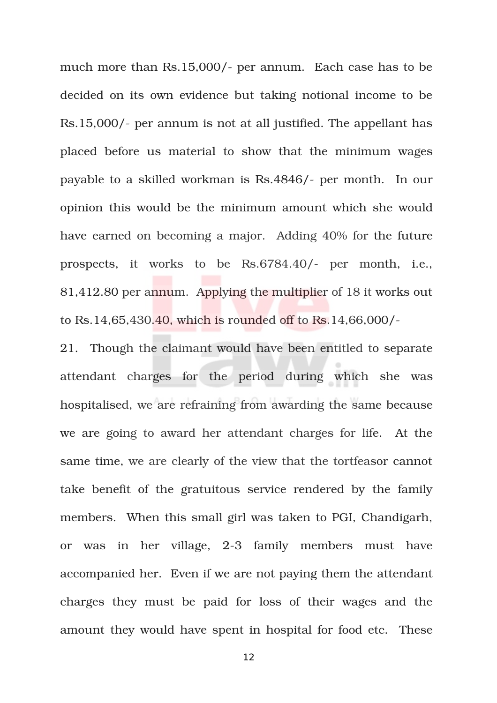much more than Rs.15,000/- per annum. Each case has to be decided on its own evidence but taking notional income to be Rs.15,000/- per annum is not at all justified. The appellant has placed before us material to show that the minimum wages payable to a skilled workman is Rs.4846/- per month. In our opinion this would be the minimum amount which she would have earned on becoming a major. Adding 40% for the future prospects, it works to be Rs.6784.40/- per month, i.e., 81,412.80 per annum. Applying the multiplier of 18 it works out to Rs.14,65,430.40, which is rounded off to Rs.14,66,000/

21. Though the claimant would have been entitled to separate attendant charges for the period during which she was hospitalised, we are refraining from awarding the same because we are going to award her attendant charges for life. At the same time, we are clearly of the view that the tortfeasor cannot take benefit of the gratuitous service rendered by the family members. When this small girl was taken to PGI, Chandigarh, or was in her village, 2-3 family members must have accompanied her. Even if we are not paying them the attendant charges they must be paid for loss of their wages and the amount they would have spent in hospital for food etc. These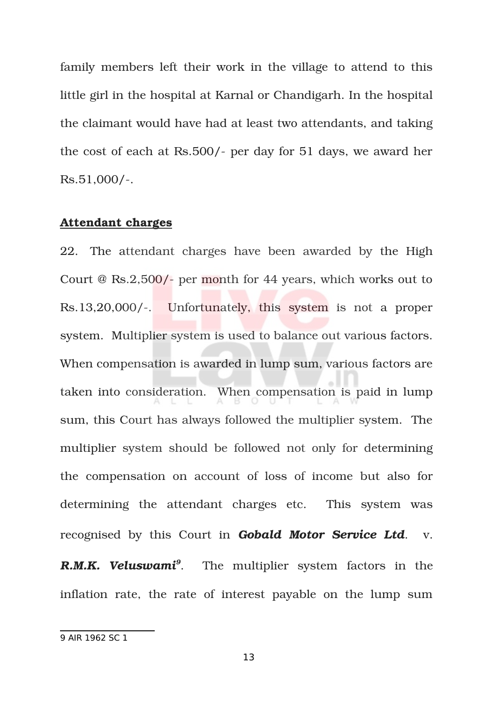family members left their work in the village to attend to this little girl in the hospital at Karnal or Chandigarh. In the hospital the claimant would have had at least two attendants, and taking the cost of each at Rs.500/- per day for 51 days, we award her  $Rs.51,000/-.$ 

#### **Attendant charges**

22. The attendant charges have been awarded by the High Court @ Rs.2,500/- per month for 44 years, which works out to Rs.13,20,000/-. Unfortunately, this system is not a proper system. Multiplier system is used to balance out various factors. When compensation is awarded in lump sum, various factors are taken into consideration. When compensation is paid in lump sum, this Court has always followed the multiplier system. The multiplier system should be followed not only for determining the compensation on account of loss of income but also for determining the attendant charges etc. This system was recognised by this Court in *Gobald Motor Service Ltd*. v. *R.M.K. Veluswami[9](#page-12-0)* The multiplier system factors in the inflation rate, the rate of interest payable on the lump sum

<span id="page-12-0"></span><sup>9</sup> AIR 1962 SC 1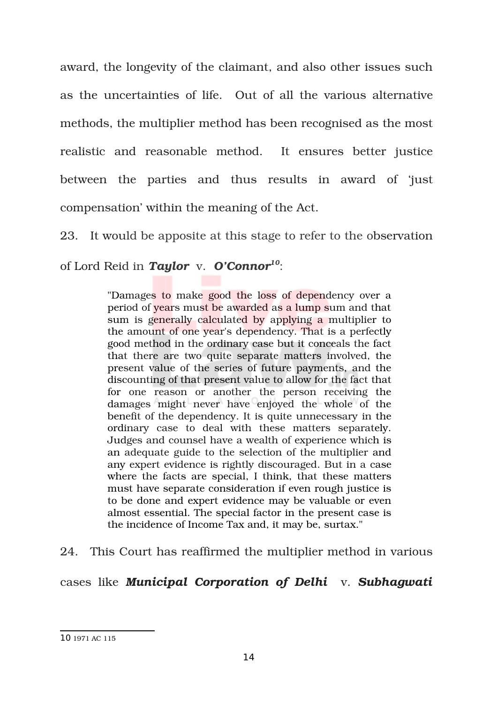award, the longevity of the claimant, and also other issues such as the uncertainties of life. Out of all the various alternative methods, the multiplier method has been recognised as the most realistic and reasonable method. It ensures better justice between the parties and thus results in award of 'just compensation' within the meaning of the Act.

23. It would be apposite at this stage to refer to the observation

of Lord Reid in *Taylor*  v. *O'Connor[10](#page-13-0)*:

"Damages to make good the loss of dependency over a period of years must be awarded as a lump sum and that sum is generally calculated by applying a multiplier to the amount of one year's dependency. That is a perfectly good method in the ordinary case but it conceals the fact that there are two quite separate matters involved, the present value of the series of future payments, and the discounting of that present value to allow for the fact that for one reason or another the person receiving the damages might never have enjoyed the whole of the benefit of the dependency. It is quite unnecessary in the ordinary case to deal with these matters separately. Judges and counsel have a wealth of experience which is an adequate guide to the selection of the multiplier and any expert evidence is rightly discouraged. But in a case where the facts are special, I think, that these matters must have separate consideration if even rough justice is to be done and expert evidence may be valuable or even almost essential. The special factor in the present case is the incidence of Income Tax and, it may be, surtax."

24. This Court has reaffirmed the multiplier method in various

cases like *Municipal Corporation of Delhi* v. *Subhagwati*

<span id="page-13-0"></span><sup>10</sup> 1971 AC 115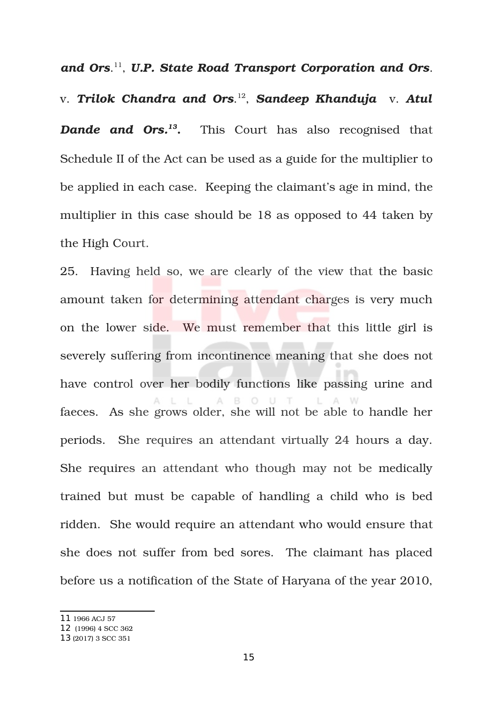and Ors.<sup>[11](#page-14-0)</sup>, U.P. State Road Transport Corporation and Ors.

v. *Trilok Chandra and Ors*. [12](#page-14-1) , *Sandeep Khanduja* v. *Atul Dande and Ors.[13](#page-14-2)* This Court has also recognised that Schedule II of the Act can be used as a guide for the multiplier to be applied in each case. Keeping the claimant's age in mind, the multiplier in this case should be 18 as opposed to 44 taken by the High Court.

25. Having held so, we are clearly of the view that the basic amount taken for determining attendant charges is very much on the lower side. We must remember that this little girl is severely suffering from incontinence meaning that she does not have control over her bodily functions like passing urine and A B O U T faeces. As she grows older, she will not be able to handle her periods. She requires an attendant virtually 24 hours a day. She requires an attendant who though may not be medically trained but must be capable of handling a child who is bed ridden. She would require an attendant who would ensure that she does not suffer from bed sores. The claimant has placed before us a notification of the State of Haryana of the year 2010,

<span id="page-14-0"></span><sup>11</sup> 1966 ACJ 57

<span id="page-14-1"></span><sup>12</sup> (1996) 4 SCC 362

<span id="page-14-2"></span><sup>13</sup> (2017) 3 SCC 351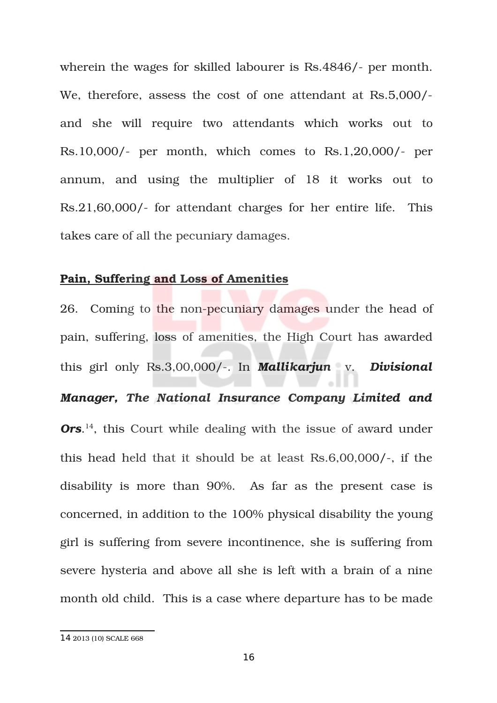wherein the wages for skilled labourer is Rs.4846/- per month. We, therefore, assess the cost of one attendant at Rs.5,000/ and she will require two attendants which works out to  $Rs.10,000/$ - per month, which comes to  $Rs.1,20,000/$ - per annum, and using the multiplier of 18 it works out to Rs.21,60,000/- for attendant charges for her entire life. This takes care of all the pecuniary damages.

#### **Pain, Suffering and Loss of Amenities**

26. Coming to the non-pecuniary damages under the head of pain, suffering, loss of amenities, the High Court has awarded this girl only Rs.3,00,000/. In *Mallikarjun* v. *Divisional Manager, The National Insurance Company Limited and* **Ors.**<sup>[14](#page-15-0)</sup>, this Court while dealing with the issue of award under this head held that it should be at least  $Rs.6,00,000/$ -, if the disability is more than 90%. As far as the present case is concerned, in addition to the 100% physical disability the young girl is suffering from severe incontinence, she is suffering from severe hysteria and above all she is left with a brain of a nine month old child. This is a case where departure has to be made

<span id="page-15-0"></span><sup>14</sup> 2013 (10) SCALE 668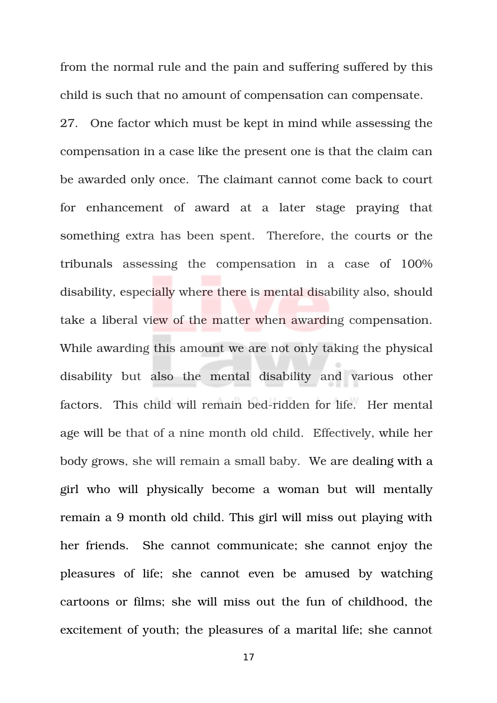from the normal rule and the pain and suffering suffered by this child is such that no amount of compensation can compensate.

27. One factor which must be kept in mind while assessing the compensation in a case like the present one is that the claim can be awarded only once. The claimant cannot come back to court for enhancement of award at a later stage praying that something extra has been spent. Therefore, the courts or the tribunals assessing the compensation in a case of  $100\%$ disability, especially where there is mental disability also, should take a liberal view of the matter when awarding compensation. While awarding this amount we are not only taking the physical disability but also the mental disability and various other factors. This child will remain bed-ridden for life. Her mental age will be that of a nine month old child. Effectively, while her body grows, she will remain a small baby. We are dealing with a girl who will physically become a woman but will mentally remain a 9 month old child. This girl will miss out playing with her friends. She cannot communicate; she cannot enjoy the pleasures of life; she cannot even be amused by watching cartoons or films; she will miss out the fun of childhood, the excitement of youth; the pleasures of a marital life; she cannot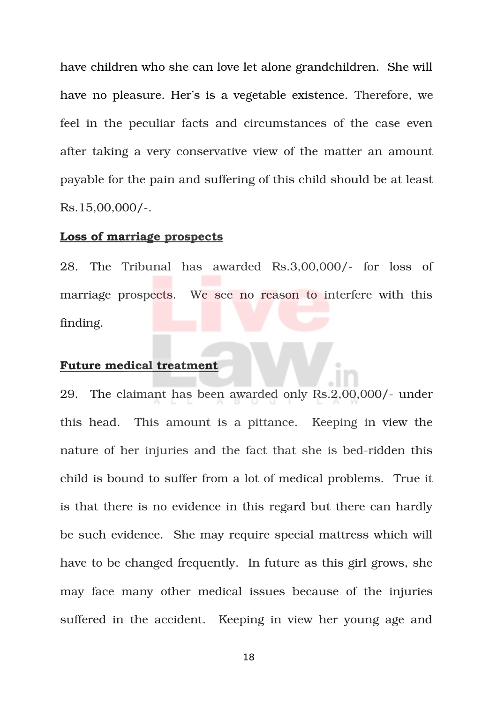have children who she can love let alone grandchildren. She will have no pleasure. Her's is a vegetable existence. Therefore, we feel in the peculiar facts and circumstances of the case even after taking a very conservative view of the matter an amount payable for the pain and suffering of this child should be at least  $Rs.15,00,000/-.$ 

#### **Loss of marriage prospects**

28. The Tribunal has awarded Rs.3,00,000/- for loss of marriage prospects. We see no reason to interfere with this finding.

#### **Future medical treatment**

29. The claimant has been awarded only Rs.2,00,000/- under this head. This amount is a pittance. Keeping in view the nature of her injuries and the fact that she is bed-ridden this child is bound to suffer from a lot of medical problems. True it is that there is no evidence in this regard but there can hardly be such evidence. She may require special mattress which will have to be changed frequently. In future as this girl grows, she may face many other medical issues because of the injuries suffered in the accident. Keeping in view her young age and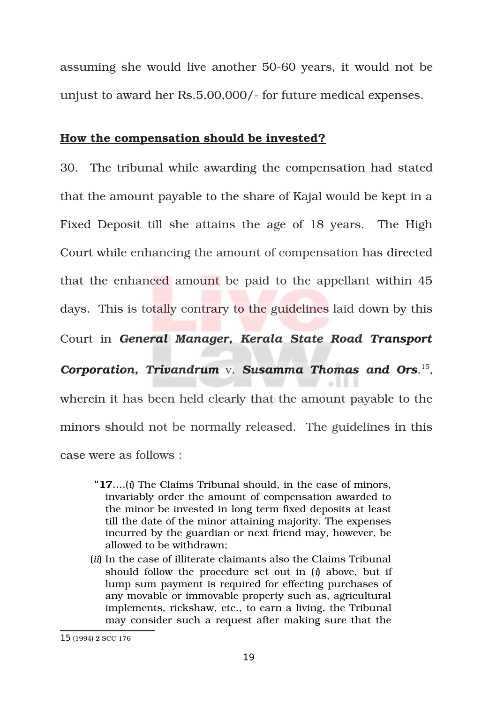assuming she would live another 50-60 years, it would not be unjust to award her Rs.5,00,000/ for future medical expenses.

#### **How the compensation should be invested?**

30. The tribunal while awarding the compensation had stated that the amount payable to the share of Kajal would be kept in a Fixed Deposit till she attains the age of 18 years. The High Court while enhancing the amount of compensation has directed that the enhanced amount be paid to the appellant within 45 days. This is totally contrary to the guidelines laid down by this Court in *General Manager, Kerala State Road Transport Corporation, Trivandrum* v. *Susamma Thomas and Ors*. [15](#page-18-0) , wherein it has been held clearly that the amount payable to the minors should not be normally released. The guidelines in this case were as follows :

- "**17**….(*i*) The Claims Tribunal should, in the case of minors, invariably order the amount of compensation awarded to the minor be invested in long term fixed deposits at least till the date of the minor attaining majority. The expenses incurred by the guardian or next friend may, however, be allowed to be withdrawn;
- (*ii*) In the case of illiterate claimants also the Claims Tribunal should follow the procedure set out in (*i*) above, but if lump sum payment is required for effecting purchases of any movable or immovable property such as, agricultural implements, rickshaw, etc., to earn a living, the Tribunal may consider such a request after making sure that the

<span id="page-18-0"></span><sup>15</sup> (1994) 2 SCC 176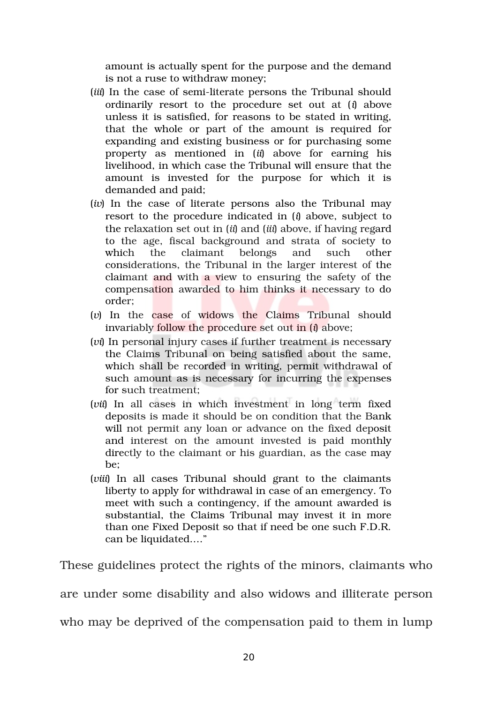amount is actually spent for the purpose and the demand is not a ruse to withdraw money;

- (*iii*) In the case of semi-literate persons the Tribunal should ordinarily resort to the procedure set out at  $(i)$  above unless it is satisfied, for reasons to be stated in writing, that the whole or part of the amount is required for expanding and existing business or for purchasing some property as mentioned in (*ii*) above for earning his livelihood, in which case the Tribunal will ensure that the amount is invested for the purpose for which it is demanded and paid;
- (*iv*) In the case of literate persons also the Tribunal may resort to the procedure indicated in (*i*) above, subject to the relaxation set out in (*ii*) and (*iii*) above, if having regard to the age, fiscal background and strata of society to which the claimant belongs and such other considerations, the Tribunal in the larger interest of the claimant and with a view to ensuring the safety of the compensation awarded to him thinks it necessary to do order;
- (*v*) In the case of widows the Claims Tribunal should invariably follow the procedure set out in (*i*) above;
- (*vi*) In personal injury cases if further treatment is necessary the Claims Tribunal on being satisfied about the same, which shall be recorded in writing, permit withdrawal of such amount as is necessary for incurring the expenses for such treatment;
- (*vii*) In all cases in which investment in long term fixed deposits is made it should be on condition that the Bank will not permit any loan or advance on the fixed deposit and interest on the amount invested is paid monthly directly to the claimant or his guardian, as the case may be;
- (*viii*) In all cases Tribunal should grant to the claimants liberty to apply for withdrawal in case of an emergency. To meet with such a contingency, if the amount awarded is substantial, the Claims Tribunal may invest it in more than one Fixed Deposit so that if need be one such F.D.R. can be liquidated…."

These guidelines protect the rights of the minors, claimants who

are under some disability and also widows and illiterate person

who may be deprived of the compensation paid to them in lump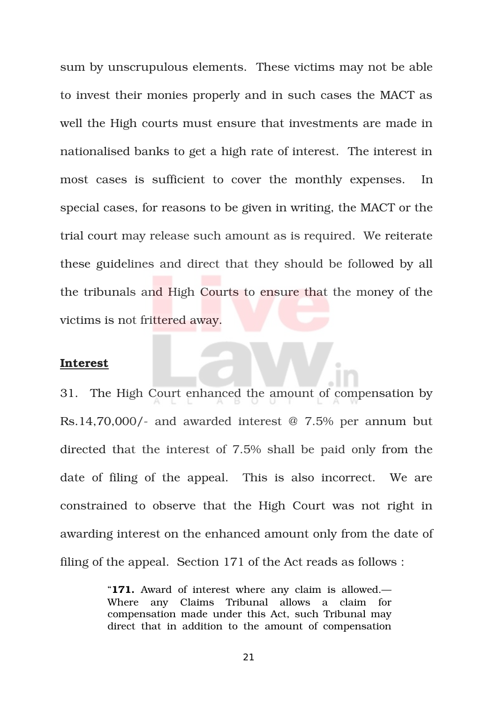sum by unscrupulous elements. These victims may not be able to invest their monies properly and in such cases the MACT as well the High courts must ensure that investments are made in nationalised banks to get a high rate of interest. The interest in most cases is sufficient to cover the monthly expenses. In special cases, for reasons to be given in writing, the MACT or the trial court may release such amount as is required. We reiterate these guidelines and direct that they should be followed by all the tribunals and High Courts to ensure that the money of the victims is not frittered away.

#### **Interest**

31. The High Court enhanced the amount of compensation by Rs.14,70,000/- and awarded interest  $@$  7.5% per annum but directed that the interest of 7.5% shall be paid only from the date of filing of the appeal. This is also incorrect. We are constrained to observe that the High Court was not right in awarding interest on the enhanced amount only from the date of filing of the appeal. Section 171 of the Act reads as follows :

> "**171.** Award of interest where any claim is allowed.— Where any Claims Tribunal allows a claim for compensation made under this Act, such Tribunal may direct that in addition to the amount of compensation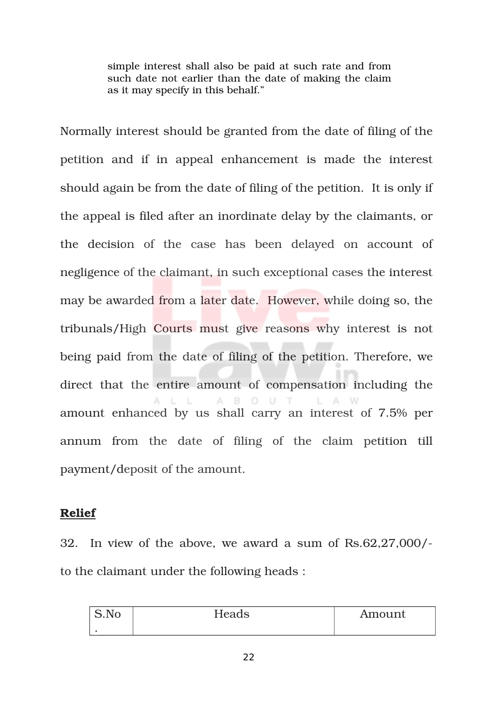simple interest shall also be paid at such rate and from such date not earlier than the date of making the claim as it may specify in this behalf."

Normally interest should be granted from the date of filing of the petition and if in appeal enhancement is made the interest should again be from the date of filing of the petition. It is only if the appeal is filed after an inordinate delay by the claimants, or the decision of the case has been delayed on account of negligence of the claimant, in such exceptional cases the interest may be awarded from a later date. However, while doing so, the tribunals/High Courts must give reasons why interest is not being paid from the date of filing of the petition. Therefore, we direct that the entire amount of compensation including the A B O U T  $L$ amount enhanced by us shall carry an interest of 7.5% per annum from the date of filing of the claim petition till payment/deposit of the amount.

#### **Relief**

32. In view of the above, we award a sum of Rs.62,27,000/ to the claimant under the following heads :

| S.No<br>$\sim$ | Heads | Amount |
|----------------|-------|--------|
|                |       |        |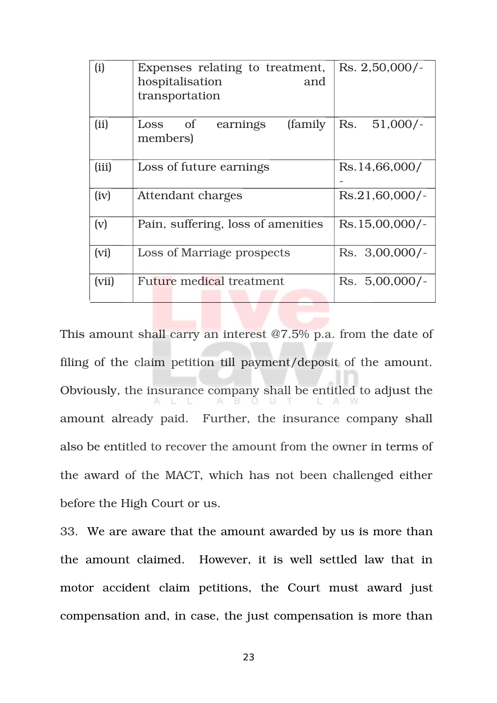| (i)   | Expenses relating to treatment,<br>hospitalisation<br>and<br>transportation | Rs. 2,50,000/                |
|-------|-----------------------------------------------------------------------------|------------------------------|
| (ii)  | (family)<br>$\sigma$<br>Loss<br>earnings<br>members)                        | $51,000/-$<br>Rs.            |
| (iii) | Loss of future earnings                                                     | Rs.14,66,000/                |
| (iv)  | Attendant charges                                                           | $Rs.21,60,000/-$             |
| (v)   | Pain, suffering, loss of amenities                                          | Rs.15,00,000/                |
| (vi)  | Loss of Marriage prospects                                                  | $\text{Rs.} \quad 3,00,000/$ |
| (vii) | Future medical treatment                                                    | $\text{Rs.} \ \ 5,00,000/$ - |

This amount shall carry an interest @7.5% p.a. from the date of filing of the claim petition till payment/deposit of the amount. Obviously, the insurance company shall be entitled to adjust the amount already paid. Further, the insurance company shall also be entitled to recover the amount from the owner in terms of the award of the MACT, which has not been challenged either before the High Court or us.

33. We are aware that the amount awarded by us is more than the amount claimed. However, it is well settled law that in motor accident claim petitions, the Court must award just compensation and, in case, the just compensation is more than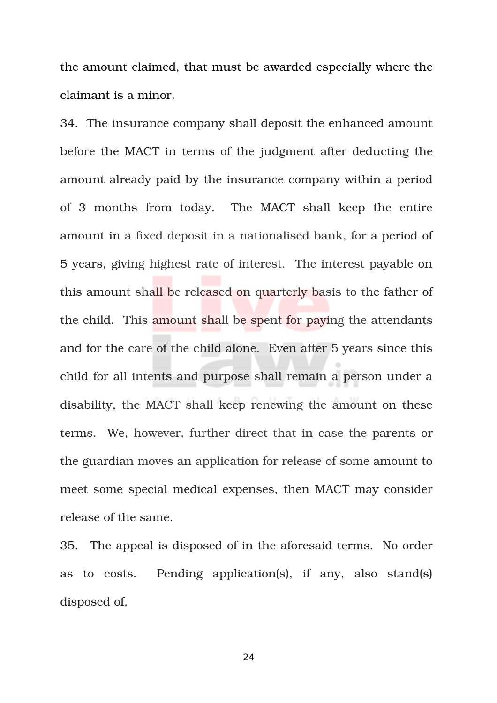the amount claimed, that must be awarded especially where the claimant is a minor.

34. The insurance company shall deposit the enhanced amount before the MACT in terms of the judgment after deducting the amount already paid by the insurance company within a period of 3 months from today. The MACT shall keep the entire amount in a fixed deposit in a nationalised bank, for a period of 5 years, giving highest rate of interest. The interest payable on this amount shall be released on quarterly basis to the father of the child. This amount shall be spent for paying the attendants and for the care of the child alone. Even after 5 years since this child for all intents and purpose shall remain a person under a disability, the MACT shall keep renewing the amount on these terms. We, however, further direct that in case the parents or the guardian moves an application for release of some amount to meet some special medical expenses, then MACT may consider release of the same.

35. The appeal is disposed of in the aforesaid terms. No order as to costs. Pending application(s), if any, also stand(s) disposed of.